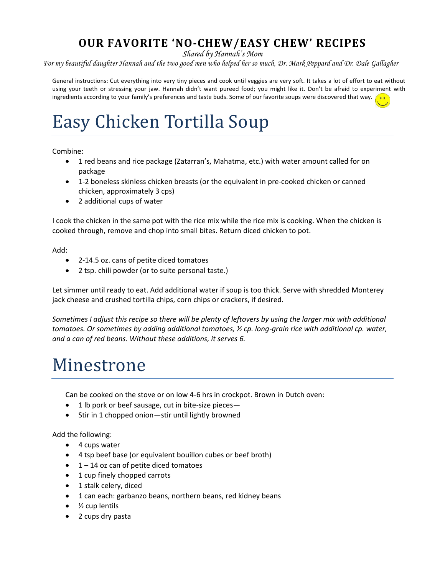#### **OUR FAVORITE 'NO-CHEW/EASY CHEW' RECIPES**

*Shared by Hannah's Mom*

*For my beautiful daughter Hannah and the two good men who helped her so much, Dr. Mark Peppard and Dr. Dale Gallagher*

General instructions: Cut everything into very tiny pieces and cook until veggies are very soft. It takes a lot of effort to eat without using your teeth or stressing your jaw. Hannah didn't want pureed food; you might like it. Don't be afraid to experiment with ingredients according to your family's preferences and taste buds. Some of our favorite soups were discovered that way.

#### Easy Chicken Tortilla Soup

Combine:

- 1 red beans and rice package (Zatarran's, Mahatma, etc.) with water amount called for on package
- 1-2 boneless skinless chicken breasts (or the equivalent in pre-cooked chicken or canned chicken, approximately 3 cps)
- 2 additional cups of water

I cook the chicken in the same pot with the rice mix while the rice mix is cooking. When the chicken is cooked through, remove and chop into small bites. Return diced chicken to pot.

Add:

- 2-14.5 oz. cans of petite diced tomatoes
- 2 tsp. chili powder (or to suite personal taste.)

Let simmer until ready to eat. Add additional water if soup is too thick. Serve with shredded Monterey jack cheese and crushed tortilla chips, corn chips or crackers, if desired.

*Sometimes I adjust this recipe so there will be plenty of leftovers by using the larger mix with additional tomatoes. Or sometimes by adding additional tomatoes, ½ cp. long-grain rice with additional cp. water, and a can of red beans. Without these additions, it serves 6.*

#### Minestrone

Can be cooked on the stove or on low 4-6 hrs in crockpot. Brown in Dutch oven:

- 1 lb pork or beef sausage, cut in bite-size pieces-
- Stir in 1 chopped onion—stir until lightly browned

Add the following:

- 4 cups water
- 4 tsp beef base (or equivalent bouillon cubes or beef broth)
- $\bullet$  1 14 oz can of petite diced tomatoes
- 1 cup finely chopped carrots
- 1 stalk celery, diced
- 1 can each: garbanzo beans, northern beans, red kidney beans
- $\bullet$  % cup lentils
- 2 cups dry pasta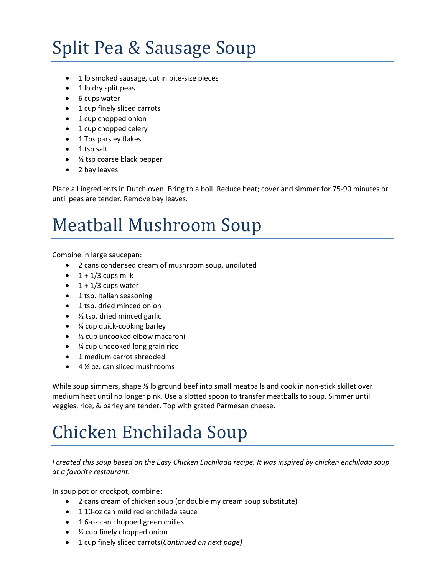# Split Pea & Sausage Soup

- 1 lb smoked sausage, cut in bite-size pieces
- 1 lb dry split peas
- 6 cups water
- 1 cup finely sliced carrots
- 1 cup chopped onion
- 1 cup chopped celery
- 1 Tbs parsley flakes
- $\bullet$  1 tsp salt
- ½ tsp coarse black pepper
- 2 bay leaves

Place all ingredients in Dutch oven. Bring to a boil. Reduce heat; cover and simmer for 75-90 minutes or until peas are tender. Remove bay leaves.

## Meatball Mushroom Soup

Combine in large saucepan:

- 2 cans condensed cream of mushroom soup, undiluted
- $\bullet$  1 + 1/3 cups milk
- $\bullet$  1 + 1/3 cups water
- 1 tsp. Italian seasoning
- 1 tsp. dried minced onion
- 1/<sub>2</sub> tsp. dried minced garlic
- ¼ cup quick-cooking barley
- 1/<sub>2</sub> cup uncooked elbow macaroni
- ¼ cup uncooked long grain rice
- 1 medium carrot shredded
- 4 ½ oz. can sliced mushrooms

While soup simmers, shape 1/2 lb ground beef into small meatballs and cook in non-stick skillet over medium heat until no longer pink. Use a slotted spoon to transfer meatballs to soup. Simmer until veggies, rice, & barley are tender. Top with grated Parmesan cheese.

## Chicken Enchilada Soup

*I created this soup based on the Easy Chicken Enchilada recipe. It was inspired by chicken enchilada soup at a favorite restaurant.*

In soup pot or crockpot, combine:

- 2 cans cream of chicken soup (or double my cream soup substitute)
- $\bullet$  1 10-oz can mild red enchilada sauce
- 16-oz can chopped green chilies
- *1*/<sub>2</sub> cup finely chopped onion
- 1 cup finely sliced carrots(*Continued on next page)*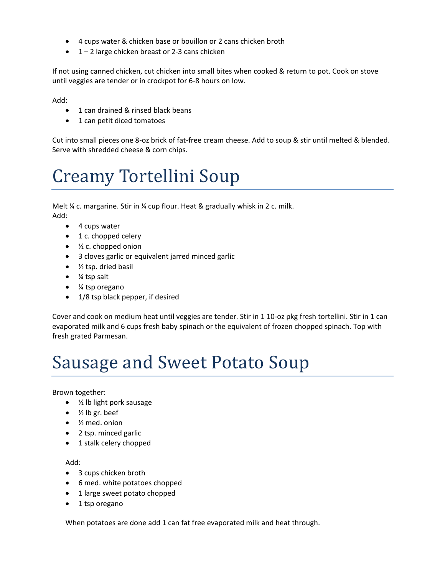- 4 cups water & chicken base or bouillon or 2 cans chicken broth
- $\bullet$  1 2 large chicken breast or 2-3 cans chicken

If not using canned chicken, cut chicken into small bites when cooked & return to pot. Cook on stove until veggies are tender or in crockpot for 6-8 hours on low.

Add:

- 1 can drained & rinsed black beans
- 1 can petit diced tomatoes

Cut into small pieces one 8-oz brick of fat-free cream cheese. Add to soup & stir until melted & blended. Serve with shredded cheese & corn chips.

## Creamy Tortellini Soup

Melt % c. margarine. Stir in % cup flour. Heat & gradually whisk in 2 c. milk. Add:

- 4 cups water
- 1 c. chopped celery
- $\bullet$   $\frac{1}{2}$  c. chopped onion
- 3 cloves garlic or equivalent jarred minced garlic
- $\bullet$  % tsp. dried basil
- ¼ tsp salt
- ¼ tsp oregano
- 1/8 tsp black pepper, if desired

Cover and cook on medium heat until veggies are tender. Stir in 1 10-oz pkg fresh tortellini. Stir in 1 can evaporated milk and 6 cups fresh baby spinach or the equivalent of frozen chopped spinach. Top with fresh grated Parmesan.

#### Sausage and Sweet Potato Soup

Brown together:

- ½ lb light pork sausage
- $\bullet$  % lb gr. beef
- ½ med. onion
- 2 tsp. minced garlic
- 1 stalk celery chopped

Add:

- 3 cups chicken broth
- 6 med. white potatoes chopped
- 1 large sweet potato chopped
- 1 tsp oregano

When potatoes are done add 1 can fat free evaporated milk and heat through.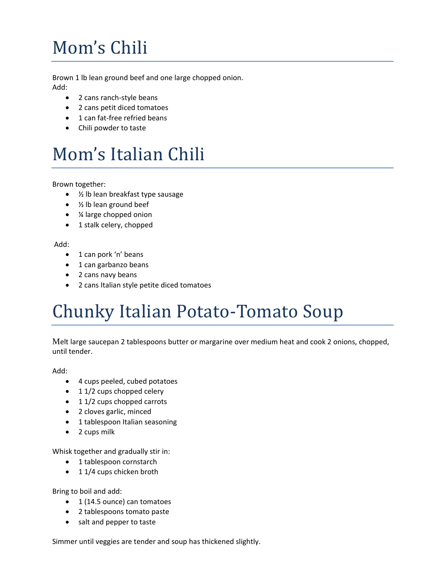# Mom's Chili

Brown 1 lb lean ground beef and one large chopped onion. Add:

- 2 cans ranch-style beans
- 2 cans petit diced tomatoes
- 1 can fat-free refried beans
- Chili powder to taste

## Mom's Italian Chili

Brown together:

- 1/<sub>2</sub> lb lean breakfast type sausage
- ½ lb lean ground beef
- ¼ large chopped onion
- 1 stalk celery, chopped

#### Add:

- 1 can pork 'n' beans
- 1 can garbanzo beans
- 2 cans navy beans
- 2 cans Italian style petite diced tomatoes

## Chunky Italian Potato-Tomato Soup

Melt large saucepan 2 tablespoons butter or margarine over medium heat and cook 2 onions, chopped, until tender.

Add:

- 4 cups peeled, cubed potatoes
- 11/2 cups chopped celery
- 11/2 cups chopped carrots
- 2 cloves garlic, minced
- 1 tablespoon Italian seasoning
- 2 cups milk

Whisk together and gradually stir in:

- 1 tablespoon cornstarch
- 1 1/4 cups chicken broth

Bring to boil and add:

- 1 (14.5 ounce) can tomatoes
- 2 tablespoons tomato paste
- salt and pepper to taste

Simmer until veggies are tender and soup has thickened slightly.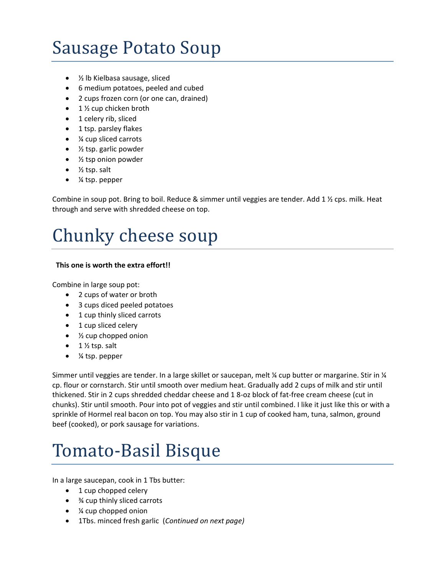## Sausage Potato Soup

- 1/<sub>2</sub> lb Kielbasa sausage, sliced
- 6 medium potatoes, peeled and cubed
- 2 cups frozen corn (or one can, drained)
- $\bullet$  1 % cup chicken broth
- 1 celery rib, sliced
- 1 tsp. parsley flakes
- ¼ cup sliced carrots
- $\bullet$   $\frac{1}{2}$  tsp. garlic powder
- $\bullet$  % tsp onion powder
- $\bullet$  % tsp. salt
- ¼ tsp. pepper

Combine in soup pot. Bring to boil. Reduce & simmer until veggies are tender. Add 1 % cps. milk. Heat through and serve with shredded cheese on top.

#### Chunky cheese soup

#### **This one is worth the extra effort!!**

Combine in large soup pot:

- 2 cups of water or broth
- 3 cups diced peeled potatoes
- 1 cup thinly sliced carrots
- 1 cup sliced celery
- *1/2* cup chopped onion
- $\bullet$  1  $\frac{1}{2}$  tsp. salt
- ¼ tsp. pepper

Simmer until veggies are tender. In a large skillet or saucepan, melt ¼ cup butter or margarine. Stir in ¼ cp. flour or cornstarch. Stir until smooth over medium heat. Gradually add 2 cups of milk and stir until thickened. Stir in 2 cups shredded cheddar cheese and 1 8-oz block of fat-free cream cheese (cut in chunks). Stir until smooth. Pour into pot of veggies and stir until combined. I like it just like this or with a sprinkle of Hormel real bacon on top. You may also stir in 1 cup of cooked ham, tuna, salmon, ground beef (cooked), or pork sausage for variations.

#### Tomato-Basil Bisque

In a large saucepan, cook in 1 Tbs butter:

- 1 cup chopped celery
- **34 cup thinly sliced carrots**
- *¼* cup chopped onion
- 1Tbs. minced fresh garlic (*Continued on next page)*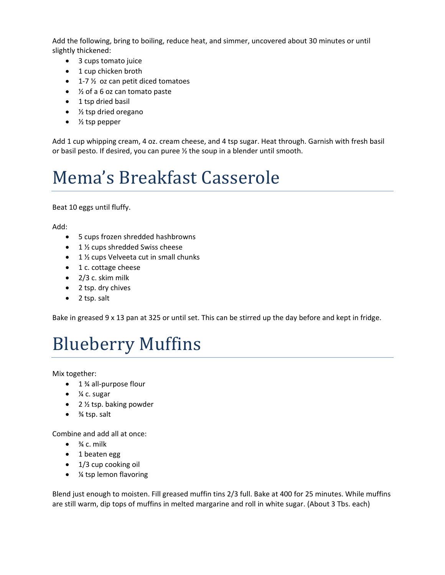Add the following, bring to boiling, reduce heat, and simmer, uncovered about 30 minutes or until slightly thickened:

- 3 cups tomato juice
- 1 cup chicken broth
- $\bullet$  1-7  $\frac{1}{2}$  oz can petit diced tomatoes
- ½ of a 6 oz can tomato paste
- 1 tsp dried basil
- ½ tsp dried oregano
- ½ tsp pepper

Add 1 cup whipping cream, 4 oz. cream cheese, and 4 tsp sugar. Heat through. Garnish with fresh basil or basil pesto. If desired, you can puree ½ the soup in a blender until smooth.

## Mema's Breakfast Casserole

Beat 10 eggs until fluffy.

Add:

- 5 cups frozen shredded hashbrowns
- 1 ½ cups shredded Swiss cheese
- $\bullet$  1 % cups Velveeta cut in small chunks
- 1 c. cottage cheese
- $\bullet$  2/3 c. skim milk
- 2 tsp. dry chives
- 2 tsp. salt

Bake in greased 9 x 13 pan at 325 or until set. This can be stirred up the day before and kept in fridge.

## Blueberry Muffins

Mix together:

- $\bullet$  1 % all-purpose flour
- $\bullet$   $\frac{1}{4}$  c. sugar
- $\bullet$  2 % tsp. baking powder
- $\bullet$   $\frac{3}{4}$  tsp. salt

Combine and add all at once:

- $\bullet$   $\frac{3}{4}$  c. milk
- 1 beaten egg
- 1/3 cup cooking oil
- ¼ tsp lemon flavoring

Blend just enough to moisten. Fill greased muffin tins 2/3 full. Bake at 400 for 25 minutes. While muffins are still warm, dip tops of muffins in melted margarine and roll in white sugar. (About 3 Tbs. each)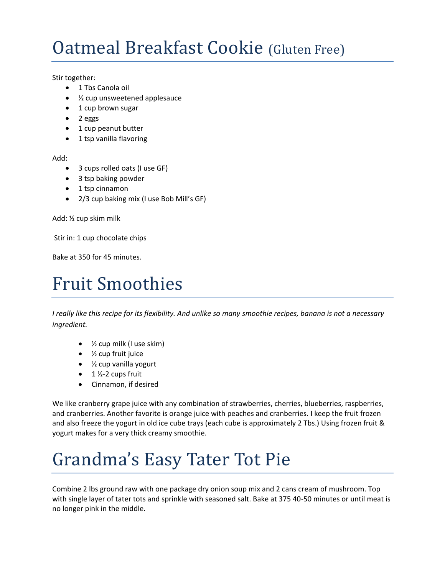## Oatmeal Breakfast Cookie (Gluten Free)

Stir together:

- $\bullet$  1 Tbs Canola oil
- 1/2 cup unsweetened applesauce
- 1 cup brown sugar
- $\bullet$  2 eggs
- 1 cup peanut butter
- 1 tsp vanilla flavoring

Add:

- 3 cups rolled oats (I use GF)
- 3 tsp baking powder
- 1 tsp cinnamon
- 2/3 cup baking mix (I use Bob Mill's GF)

Add: ½ cup skim milk

Stir in: 1 cup chocolate chips

Bake at 350 for 45 minutes.

#### Fruit Smoothies

*I really like this recipe for its flexibility. And unlike so many smoothie recipes, banana is not a necessary ingredient.*

- $\bullet$   $\frac{1}{2}$  cup milk (I use skim)
- ½ cup fruit juice
- $\bullet$  % cup vanilla yogurt
- $\bullet$  1 ½-2 cups fruit
- Cinnamon, if desired

We like cranberry grape juice with any combination of strawberries, cherries, blueberries, raspberries, and cranberries. Another favorite is orange juice with peaches and cranberries. I keep the fruit frozen and also freeze the yogurt in old ice cube trays (each cube is approximately 2 Tbs.) Using frozen fruit & yogurt makes for a very thick creamy smoothie.

# Grandma's Easy Tater Tot Pie

Combine 2 lbs ground raw with one package dry onion soup mix and 2 cans cream of mushroom. Top with single layer of tater tots and sprinkle with seasoned salt. Bake at 375 40-50 minutes or until meat is no longer pink in the middle.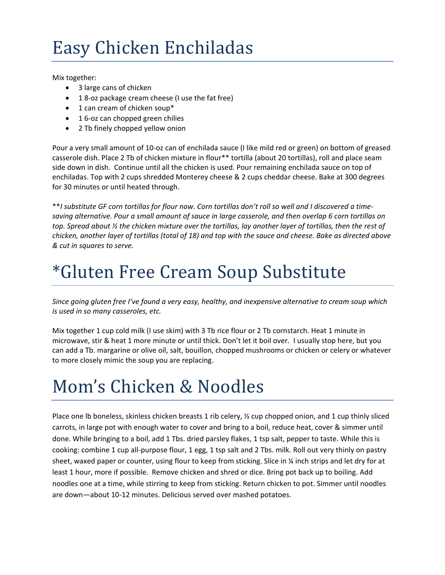## Easy Chicken Enchiladas

Mix together:

- 3 large cans of chicken
- 18-oz package cream cheese (I use the fat free)
- 1 can cream of chicken soup\*
- 1 6-oz can chopped green chilies
- 2 Tb finely chopped yellow onion

Pour a very small amount of 10-oz can of enchilada sauce (I like mild red or green) on bottom of greased casserole dish. Place 2 Tb of chicken mixture in flour\*\* tortilla (about 20 tortillas), roll and place seam side down in dish. Continue until all the chicken is used. Pour remaining enchilada sauce on top of enchiladas. Top with 2 cups shredded Monterey cheese & 2 cups cheddar cheese. Bake at 300 degrees for 30 minutes or until heated through.

\*\**I substitute GF corn tortillas for flour now. Corn tortillas don't roll so well and I discovered a timesaving alternative. Pour a small amount of sauce in large casserole, and then overlap 6 corn tortillas on top. Spread about ½ the chicken mixture over the tortillas, lay another layer of tortillas, then the rest of chicken, another layer of tortillas (total of 18) and top with the sauce and cheese. Bake as directed above & cut in squares to serve.*

## \*Gluten Free Cream Soup Substitute

*Since going gluten free I've found a very easy, healthy, and inexpensive alternative to cream soup which is used in so many casseroles, etc.* 

Mix together 1 cup cold milk (I use skim) with 3 Tb rice flour or 2 Tb cornstarch. Heat 1 minute in microwave, stir & heat 1 more minute or until thick. Don't let it boil over. I usually stop here, but you can add a Tb. margarine or olive oil, salt, bouillon, chopped mushrooms or chicken or celery or whatever to more closely mimic the soup you are replacing.

## Mom's Chicken & Noodles

Place one Ib boneless, skinless chicken breasts 1 rib celery,  $\frac{1}{2}$  cup chopped onion, and 1 cup thinly sliced carrots, in large pot with enough water to cover and bring to a boil, reduce heat, cover & simmer until done. While bringing to a boil, add 1 Tbs. dried parsley flakes, 1 tsp salt, pepper to taste. While this is cooking: combine 1 cup all-purpose flour, 1 egg, 1 tsp salt and 2 Tbs. milk. Roll out very thinly on pastry sheet, waxed paper or counter, using flour to keep from sticking. Slice in ¼ inch strips and let dry for at least 1 hour, more if possible. Remove chicken and shred or dice. Bring pot back up to boiling. Add noodles one at a time, while stirring to keep from sticking. Return chicken to pot. Simmer until noodles are down—about 10-12 minutes. Delicious served over mashed potatoes.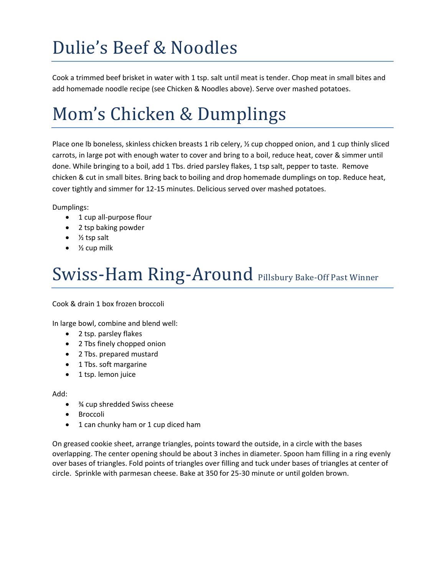# Dulie's Beef & Noodles

Cook a trimmed beef brisket in water with 1 tsp. salt until meat is tender. Chop meat in small bites and add homemade noodle recipe (see Chicken & Noodles above). Serve over mashed potatoes.

# Mom's Chicken & Dumplings

Place one Ib boneless, skinless chicken breasts 1 rib celery,  $\frac{1}{2}$  cup chopped onion, and 1 cup thinly sliced carrots, in large pot with enough water to cover and bring to a boil, reduce heat, cover & simmer until done. While bringing to a boil, add 1 Tbs. dried parsley flakes, 1 tsp salt, pepper to taste. Remove chicken & cut in small bites. Bring back to boiling and drop homemade dumplings on top. Reduce heat, cover tightly and simmer for 12-15 minutes. Delicious served over mashed potatoes.

Dumplings:

- 1 cup all-purpose flour
- 2 tsp baking powder
- $\bullet$  % tsp salt
- ½ cup milk

## Swiss-Ham Ring-Around Pillsbury Bake-Off Past Winner

Cook & drain 1 box frozen broccoli

In large bowl, combine and blend well:

- 2 tsp. parsley flakes
- 2 Tbs finely chopped onion
- 2 Tbs. prepared mustard
- 1 Tbs. soft margarine
- 1 tsp. lemon juice

Add:

- ¾ cup shredded Swiss cheese
- Broccoli
- 1 can chunky ham or 1 cup diced ham

On greased cookie sheet, arrange triangles, points toward the outside, in a circle with the bases overlapping. The center opening should be about 3 inches in diameter. Spoon ham filling in a ring evenly over bases of triangles. Fold points of triangles over filling and tuck under bases of triangles at center of circle. Sprinkle with parmesan cheese. Bake at 350 for 25-30 minute or until golden brown.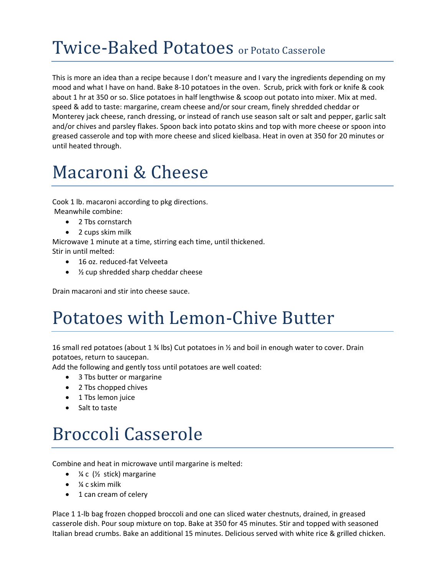## Twice-Baked Potatoes or Potato Casserole

This is more an idea than a recipe because I don't measure and I vary the ingredients depending on my mood and what I have on hand. Bake 8-10 potatoes in the oven. Scrub, prick with fork or knife & cook about 1 hr at 350 or so. Slice potatoes in half lengthwise & scoop out potato into mixer. Mix at med. speed & add to taste: margarine, cream cheese and/or sour cream, finely shredded cheddar or Monterey jack cheese, ranch dressing, or instead of ranch use season salt or salt and pepper, garlic salt and/or chives and parsley flakes. Spoon back into potato skins and top with more cheese or spoon into greased casserole and top with more cheese and sliced kielbasa. Heat in oven at 350 for 20 minutes or until heated through.

#### Macaroni & Cheese

Cook 1 lb. macaroni according to pkg directions. Meanwhile combine:

- 2 Tbs cornstarch
- 2 cups skim milk

Microwave 1 minute at a time, stirring each time, until thickened. Stir in until melted:

- 16 oz. reduced-fat Velveeta
- 1/2 cup shredded sharp cheddar cheese

Drain macaroni and stir into cheese sauce.

## Potatoes with Lemon-Chive Butter

16 small red potatoes (about 1  $\frac{3}{4}$  lbs) Cut potatoes in  $\frac{1}{2}$  and boil in enough water to cover. Drain potatoes, return to saucepan.

Add the following and gently toss until potatoes are well coated:

- 3 Tbs butter or margarine
- 2 Tbs chopped chives
- 1 Tbs lemon juice
- Salt to taste

## Broccoli Casserole

Combine and heat in microwave until margarine is melted:

- $\frac{1}{4}$  c ( $\frac{1}{2}$  stick) margarine
- $\bullet$   $\frac{1}{4}$  c skim milk
- 1 can cream of celery

Place 1 1-lb bag frozen chopped broccoli and one can sliced water chestnuts, drained, in greased casserole dish. Pour soup mixture on top. Bake at 350 for 45 minutes. Stir and topped with seasoned Italian bread crumbs. Bake an additional 15 minutes. Delicious served with white rice & grilled chicken.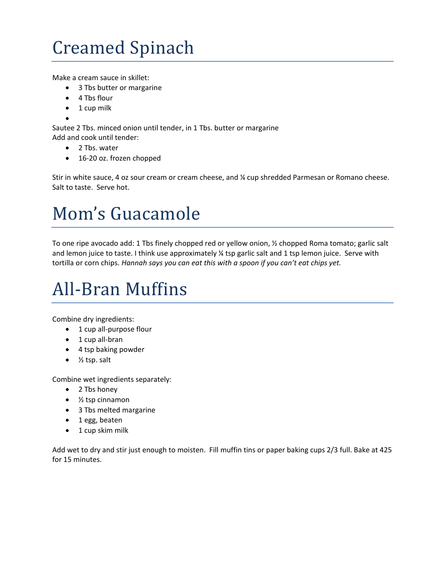# Creamed Spinach

Make a cream sauce in skillet:

- 3 Tbs butter or margarine
- 4 Tbs flour
- $\bullet$  1 cup milk
- $\bullet$

Sautee 2 Tbs. minced onion until tender, in 1 Tbs. butter or margarine Add and cook until tender:

- 2 Tbs. water
- 16-20 oz. frozen chopped

Stir in white sauce, 4 oz sour cream or cream cheese, and ¼ cup shredded Parmesan or Romano cheese. Salt to taste. Serve hot.

## Mom's Guacamole

To one ripe avocado add: 1 Tbs finely chopped red or yellow onion, ½ chopped Roma tomato; garlic salt and lemon juice to taste. I think use approximately ¼ tsp garlic salt and 1 tsp lemon juice. Serve with tortilla or corn chips. *Hannah says you can eat this with a spoon if you can't eat chips yet.*

## All-Bran Muffins

Combine dry ingredients:

- 1 cup all-purpose flour
- 1 cup all-bran
- 4 tsp baking powder
- $\bullet$  % tsp. salt

Combine wet ingredients separately:

- 2 Tbs honey
- $\bullet$  % tsp cinnamon
- 3 Tbs melted margarine
- 1 egg, beaten
- 1 cup skim milk

Add wet to dry and stir just enough to moisten. Fill muffin tins or paper baking cups 2/3 full. Bake at 425 for 15 minutes.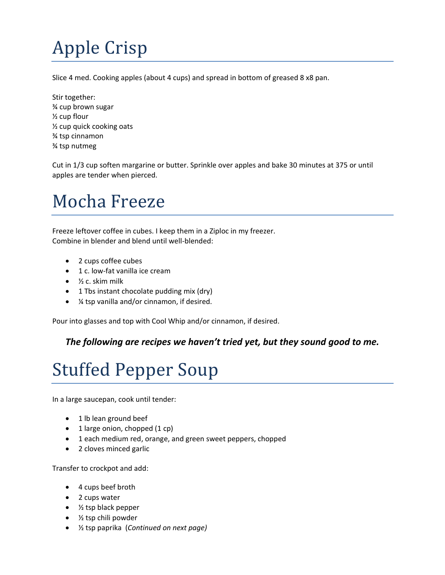# Apple Crisp

Slice 4 med. Cooking apples (about 4 cups) and spread in bottom of greased 8 x8 pan.

Stir together: ¾ cup brown sugar ½ cup flour ½ cup quick cooking oats ¾ tsp cinnamon ¾ tsp nutmeg

Cut in 1/3 cup soften margarine or butter. Sprinkle over apples and bake 30 minutes at 375 or until apples are tender when pierced.

## Mocha Freeze

Freeze leftover coffee in cubes. I keep them in a Ziploc in my freezer. Combine in blender and blend until well-blended:

- 2 cups coffee cubes
- 1 c. low-fat vanilla ice cream
- $\bullet$   $\frac{1}{2}$  c. skim milk
- 1 Tbs instant chocolate pudding mix (dry)
- ¼ tsp vanilla and/or cinnamon, if desired.

Pour into glasses and top with Cool Whip and/or cinnamon, if desired.

#### *The following are recipes we haven't tried yet, but they sound good to me.*

## Stuffed Pepper Soup

In a large saucepan, cook until tender:

- 1 lb lean ground beef
- $\bullet$  1 large onion, chopped (1 cp)
- 1 each medium red, orange, and green sweet peppers, chopped
- 2 cloves minced garlic

Transfer to crockpot and add:

- 4 cups beef broth
- 2 cups water
- $\bullet$   $\frac{1}{2}$  tsp black pepper
- ½ tsp chili powder
- ½ tsp paprika (*Continued on next page)*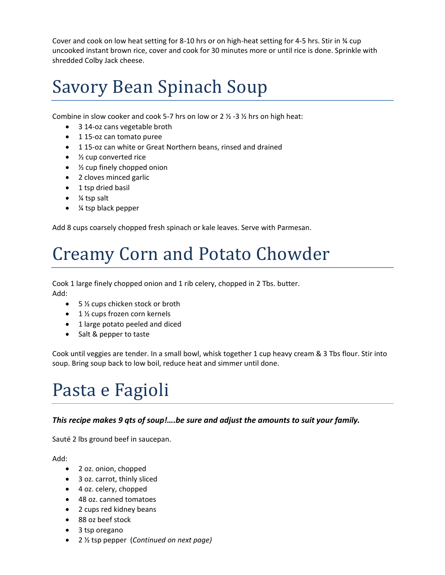Cover and cook on low heat setting for 8-10 hrs or on high-heat setting for 4-5 hrs. Stir in ¾ cup uncooked instant brown rice, cover and cook for 30 minutes more or until rice is done. Sprinkle with shredded Colby Jack cheese.

## Savory Bean Spinach Soup

Combine in slow cooker and cook 5-7 hrs on low or 2  $\frac{1}{2}$  -3  $\frac{1}{2}$  hrs on high heat:

- 3 14-oz cans vegetable broth
- 1 15-oz can tomato puree
- 1 15-oz can white or Great Northern beans, rinsed and drained
- ½ cup converted rice
- ½ cup finely chopped onion
- 2 cloves minced garlic
- 1 tsp dried basil
- $\bullet$  % tsp salt
- ¼ tsp black pepper

Add 8 cups coarsely chopped fresh spinach or kale leaves. Serve with Parmesan.

## Creamy Corn and Potato Chowder

Cook 1 large finely chopped onion and 1 rib celery, chopped in 2 Tbs. butter.

Add:

- 5 % cups chicken stock or broth
- 1 ½ cups frozen corn kernels
- 1 large potato peeled and diced
- Salt & pepper to taste

Cook until veggies are tender. In a small bowl, whisk together 1 cup heavy cream & 3 Tbs flour. Stir into soup. Bring soup back to low boil, reduce heat and simmer until done.

## Pasta e Fagioli

#### *This recipe makes 9 qts of soup!….be sure and adjust the amounts to suit your family.*

Sauté 2 lbs ground beef in saucepan.

Add:

- 2 oz. onion, chopped
- 3 oz. carrot, thinly sliced
- 4 oz. celery, chopped
- 48 oz. canned tomatoes
- 2 cups red kidney beans
- 88 oz beef stock
- 3 tsp oregano
- 2 ½ tsp pepper (*Continued on next page)*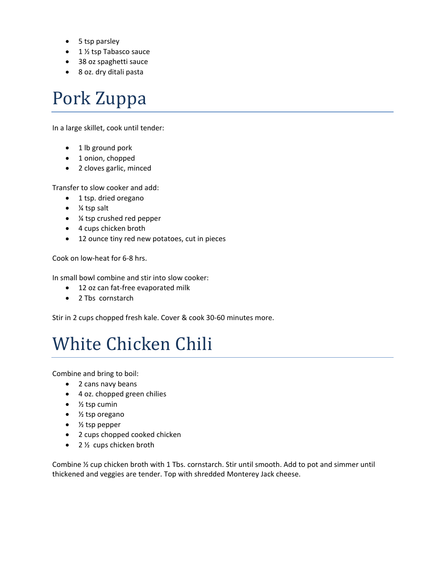- 5 tsp parsley
- $\bullet$  1 ½ tsp Tabasco sauce
- 38 oz spaghetti sauce
- 8 oz. dry ditali pasta

#### Pork Zuppa

In a large skillet, cook until tender:

- 1 lb ground pork
- 1 onion, chopped
- 2 cloves garlic, minced

Transfer to slow cooker and add:

- 1 tsp. dried oregano
- $\bullet$  % tsp salt
- ¼ tsp crushed red pepper
- 4 cups chicken broth
- 12 ounce tiny red new potatoes, cut in pieces

Cook on low-heat for 6-8 hrs.

In small bowl combine and stir into slow cooker:

- 12 oz can fat-free evaporated milk
- 2 Tbs cornstarch

Stir in 2 cups chopped fresh kale. Cover & cook 30-60 minutes more.

#### White Chicken Chili

Combine and bring to boil:

- 2 cans navy beans
- 4 oz. chopped green chilies
- $\bullet$  % tsp cumin
- ½ tsp oregano
- $\bullet$  % tsp pepper
- 2 cups chopped cooked chicken
- $\bullet$  2  $\frac{1}{2}$  cups chicken broth

Combine ½ cup chicken broth with 1 Tbs. cornstarch. Stir until smooth. Add to pot and simmer until thickened and veggies are tender. Top with shredded Monterey Jack cheese.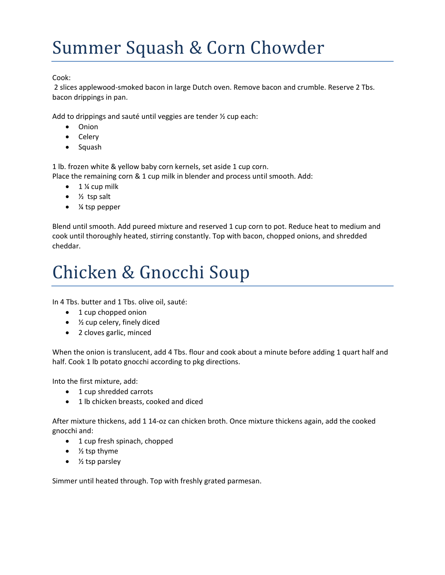## Summer Squash & Corn Chowder

Cook:

2 slices applewood-smoked bacon in large Dutch oven. Remove bacon and crumble. Reserve 2 Tbs. bacon drippings in pan.

Add to drippings and sauté until veggies are tender ½ cup each:

- Onion
- Celery
- Squash

1 lb. frozen white & yellow baby corn kernels, set aside 1 cup corn.

Place the remaining corn & 1 cup milk in blender and process until smooth. Add:

- $\bullet$  1 % cup milk
- $\bullet$  % tsp salt
- ¼ tsp pepper

Blend until smooth. Add pureed mixture and reserved 1 cup corn to pot. Reduce heat to medium and cook until thoroughly heated, stirring constantly. Top with bacon, chopped onions, and shredded cheddar.

## Chicken & Gnocchi Soup

In 4 Tbs. butter and 1 Tbs. olive oil, sauté:

- 1 cup chopped onion
- ½ cup celery, finely diced
- 2 cloves garlic, minced

When the onion is translucent, add 4 Tbs. flour and cook about a minute before adding 1 quart half and half. Cook 1 lb potato gnocchi according to pkg directions.

Into the first mixture, add:

- 1 cup shredded carrots
- 1 lb chicken breasts, cooked and diced

After mixture thickens, add 1 14-oz can chicken broth. Once mixture thickens again, add the cooked gnocchi and:

- 1 cup fresh spinach, chopped
- 1/<sub>2</sub> tsp thyme
- $\bullet$  % tsp parsley

Simmer until heated through. Top with freshly grated parmesan.